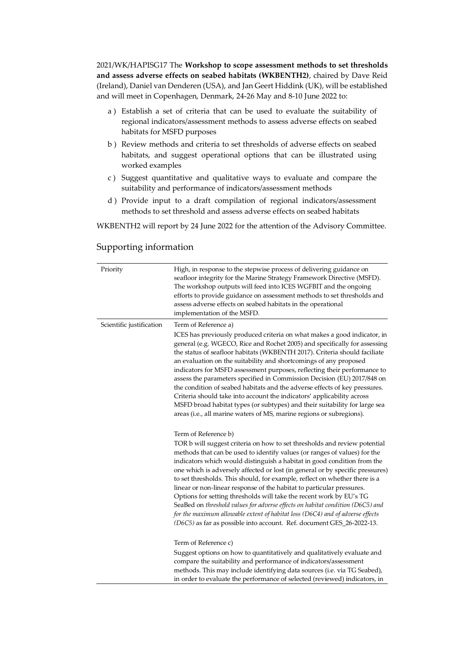2021/WK/HAPISG17 The **Workshop to scope assessment methods to set thresholds and assess adverse effects on seabed habitats (WKBENTH2)**, chaired by Dave Reid (Ireland), Daniel van Denderen (USA), and Jan Geert Hiddink (UK), will be established and will meet in Copenhagen, Denmark, 24-26 May and 8-10 June 2022 to:

- a ) Establish a set of criteria that can be used to evaluate the suitability of regional indicators/assessment methods to assess adverse effects on seabed habitats for MSFD purposes
- b ) Review methods and criteria to set thresholds of adverse effects on seabed habitats, and suggest operational options that can be illustrated using worked examples
- c ) Suggest quantitative and qualitative ways to evaluate and compare the suitability and performance of indicators/assessment methods
- d ) Provide input to a draft compilation of regional indicators/assessment methods to set threshold and assess adverse effects on seabed habitats

WKBENTH2 will report by 24 June 2022 for the attention of the Advisory Committee.

## Priority High, in response to the stepwise process of delivering guidance on seafloor integrity for the Marine Strategy Framework Directive (MSFD). The workshop outputs will feed into ICES WGFBIT and the ongoing efforts to provide guidance on assessment methods to set thresholds and assess adverse effects on seabed habitats in the operational implementation of the MSFD. Scientific justification Term of Reference a) ICES has previously produced criteria on what makes a good indicator, in general (e.g. WGECO, Rice and Rochet 2005) and specifically for assessing the status of seafloor habitats (WKBENTH 2017). Criteria should faciliate an evaluation on the suitability and shortcomings of any proposed indicators for MSFD assessment purposes, reflecting their performance to assess the parameters specified in Commission Decision (EU) 2017/848 on the condition of seabed habitats and the adverse effects of key pressures. Criteria should take into account the indicators' applicability across MSFD broad habitat types (or subtypes) and their suitability for large sea areas (i.e., all marine waters of MS, marine regions or subregions). Term of Reference b) TOR b will suggest criteria on how to set thresholds and review potential methods that can be used to identify values (or ranges of values) for the indicators which would distinguish a habitat in good condition from the one which is adversely affected or lost (in general or by specific pressures) to set thresholds. This should, for example, reflect on whether there is a linear or non-linear response of the habitat to particular pressures. Options for setting thresholds will take the recent work by EU's TG SeaBed on *threshold values for adverse effects on habitat condition (D6C5) and for the maximum allowable extent of habitat loss (D6C4) and of adverse effects (D6C5)* as far as possible into account. Ref. document GES\_26-2022-13. Term of Reference c)

## Supporting information

Suggest options on how to quantitatively and qualitatively evaluate and compare the suitability and performance of indicators/assessment methods. This may include identifying data sources (i.e. via TG Seabed), in order to evaluate the performance of selected (reviewed) indicators, in